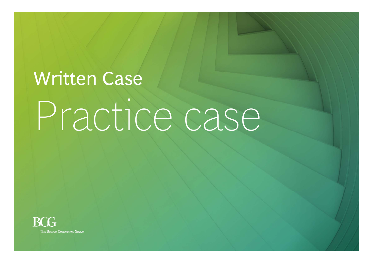# Written Case Practice case

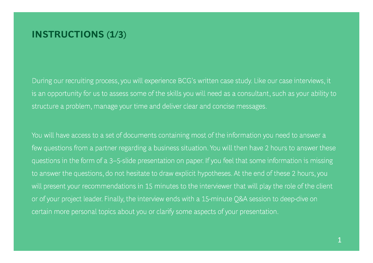## **INSTRUCTIONS (1/3)**

During our recruiting process, you will experience BCG's written case study. Like our case interviews, it is an opportunity for us to assess some of the skills you will need as a consultant, such as your ability to structure a problem, manage your time and deliver clear and concise messages.

You will have access to a set of documents containing most of the information you need to answer a few questions from a partner regarding a business situation. You will then have 2 hours to answer these questions in the form of a 3–5-slide presentation on paper. If you feel that some information is missing to answer the questions, do not hesitate to draw explicit hypotheses. At the end of these 2 hours, you will present your recommendations in 15 minutes to the interviewer that will play the role of the client or of your project leader. Finally, the interview ends with a 15-minute Q&A session to deep-dive on certain more personal topics about you or clarify some aspects of your presentation.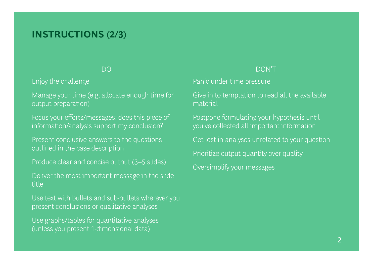## **INSTRUCTIONS (2/3)**

Enjoy the challenge

Manage your time (e.g. allocate enough time for output preparation) material

Focus your efforts/messages: does this piece of information/analysis support my conclusion?

Present conclusive answers to the questions outlined in the case description

Produce clear and concise output (3–5 slides)

Deliver the most important message in the slide title

Use text with bullets and sub-bullets wherever you present conclusions or qualitative analyses

Use graphs/tables for quantitative analyses Use graphs/tables for quantitative analyses (unless you present 1-dimensional data)

#### DO DON'T

Panic under time pressure

Give in to temptation to read all the available material

Postpone formulating your hypothesis until you've collected all important information

Get lost in analyses unrelated to your question

Prioritize output quantity over quality

Oversimplify your messages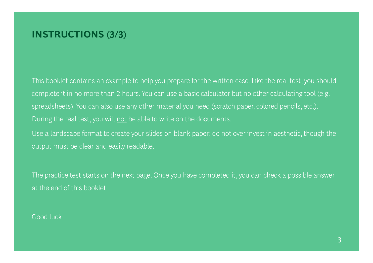## **INSTRUCTIONS (3/3)**

This booklet contains an example to help you prepare for the written case. Like the real test, you should complete it in no more than 2 hours. You can use a basic calculator but no other calculating tool (e.g. spreadsheets). You can also use any other material you need (scratch paper, colored pencils, etc.). During the real test, you will not be able to write on the documents.

Use a landscape format to create your slides on blank paper: do not over invest in aesthetic, though the output must be clear and easily readable.

The practice test starts on the next page. Once you have completed it, you can check a possible answer at the end of this booklet.

## Good luck!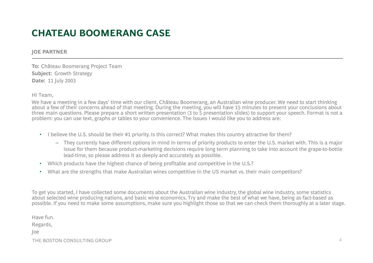# **CHATEAU BOOMERANG CASE**

#### **JOE PARTNER**

**To:** Château Boomerang Project Team **Subject:** Growth Strategy **Date:** 11 July 2003

Hi Team,

We have a meeting in a few days' time with our client, Château Boomerang, an Australian wine producer. We need to start thinking about a few of their concerns ahead of that meeting. During the meeting, you will have 15 minutes to present your conclusions about three main questions. Please prepare a short written presentation (3 to 5 presentation slides) to support your speech. Format is not a problem: you can use text, graphs or tables to your convenience. The issues I would like you to address are:

- I believe the U.S. should be their #1 priority. Is this correct? What makes this country attractive for them?
	- They currently have different options in mind in terms of priority products to enter the U.S. market with. This is a major issue for them because product-marketing decisions require long term planning to take into account the grape-to-bottle lead-time, so please address it as deeply and accurately as possible.
- Which products have the highest chance of being profitable and competitive in the U.S.?
- What are the strengths that make Australian wines competitive in the US market vs. their main competitors?

To get you started, I have collected some documents about the Australian wine industry, the global wine industry, some statistics about selected wine producing nations, and basic wine economics. Try and make the best of what we have, being as fact-based as possible. If you need to make some assumptions, make sure you highlight those so that we can check them thoroughly at a later stage.

Have fun.

Regards,

Joe

THE BOSTON CONSULTING GROUP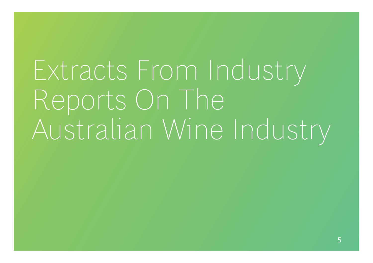Extracts From Industry Reports On The Australian Wine Industry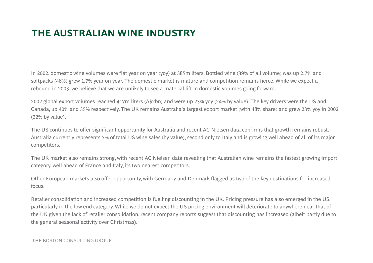# **THE AUSTRALIAN WINE INDUSTRY**

In 2002, domestic wine volumes were flat year on year (yoy) at 385m liters. Bottled wine (39% of all volume) was up 2.7% and softpacks (46%) grew 1.7% year on year. The domestic market is mature and competition remains fierce. While we expect a rebound in 2003, we believe that we are unlikely to see a material lift in domestic volumes going forward.

2002 global export volumes reached 417m liters (A\$2bn) and were up 23% yoy (24% by value). The key drivers were the US and Canada, up 40% and 35% respectively. The UK remains Australia's largest export market (with 48% share) and grew 23% yoy in 2002 (22% by value).

The US continues to offer significant opportunity for Australia and recent AC Nielsen data confirms that growth remains robust. Australia currently represents 7% of total US wine sales (by value), second only to Italy and is growing well ahead of all of its major competitors.

The UK market also remains strong, with recent AC Nielsen data revealing that Australian wine remains the fastest growing import category, well ahead of France and Italy, its two nearest competitors.

Other European markets also offer opportunity, with Germany and Denmark flagged as two of the key destinations for increased focus.

Retailer consolidation and increased competition is fuelling discounting in the UK. Pricing pressure has also emerged in the US, particularly in the low-end category. While we do not expect the US pricing environment will deteriorate to anywhere near that of the UK given the lack of retailer consolidation, recent company reports suggest that discounting has increased (albeit partly due to the general seasonal activity over Christmas).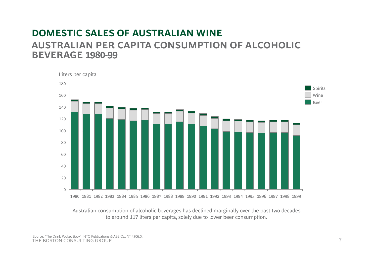## **DOMESTIC SALES OF AUSTRALIAN WINE AUSTRALIAN PER CAPITA CONSUMPTION OF ALCOHOLICBEVERAGE 1980-99**



Australian consumption of alcoholic beverages has declined marginally over the past two decades to around 117 liters per capita, solely due to lower beer consumption.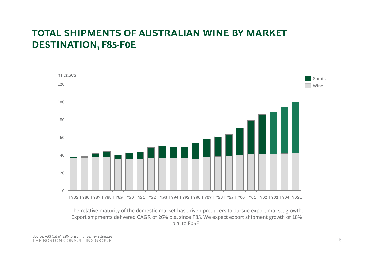## **TOTAL SHIPMENTS OF AUSTRALIAN WINE BY MARKET DESTINATION F85 DESTINATION, -F0E**



The relative maturity of the domestic market has driven producers to pursue export market growth. Export shipments delivered CAGR of 26% p.a. since F85. We expect export shipment growth of 18% p.a. to F05E.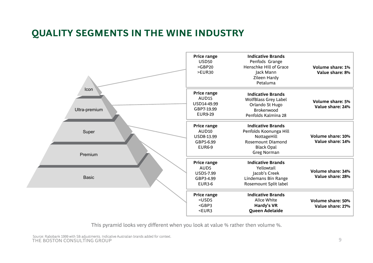# **QUALITY SEGMENTS IN THE WINE INDUSTRY**



This pyramid looks very different when you look at value % rather then volume %.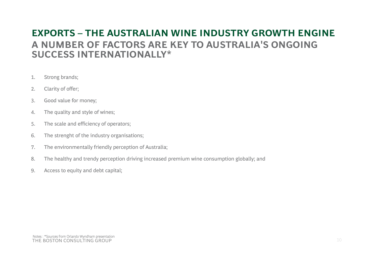## **EXPORTS – THE AUSTRALIAN WINE INDUSTRY GROWTH ENGINE A NUMBER OF FACTORS ARE KEY TO AUSTRALIA'S ONGOING SUCCESS INTERNATIONALLY\***

- 1. Strong brands;
- 2. Clarity of offer;
- 3. Good value for money;
- 4. The quality and style of wines;
- 5. The scale and efficiency of operators;
- 6. The strenght of the industry organisations;
- 7. The environmentally friendly perception of Australia;
- 8. The healthy and trendy perception driving increased premium wine consumption globally; and
- 9. Access to equity and debt capital;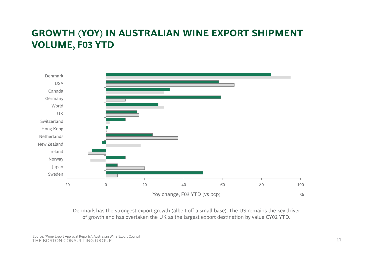# **GROWTH (YOY) IN AUSTRALIAN WINE EXPORT SHIPMENT VOLUME F03 YTD VOLUME,**



Denmark has the strongest export growth (albeit off a small base). The US remains the key driver of growth and has overtaken the UK as the largest export destination by value CY02 YTD.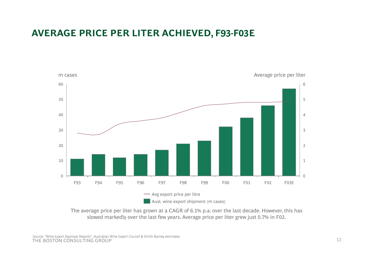## **AVERAGE PRICE PER LITER ACHIEVED, F93-F03E**



The average price per liter has grown at a CAGR of 6.1% p.a. over the last decade. However, this has slowed markedly over the last few years. Average price per liter grew just 0.7% in F02.

THE BOSTON CONSULTING GROUPSource: "Wine Export Approval Reports", Australian Wine Export Council & Smith Barney estimates<br>THE ROSTON CONSULTING GROUP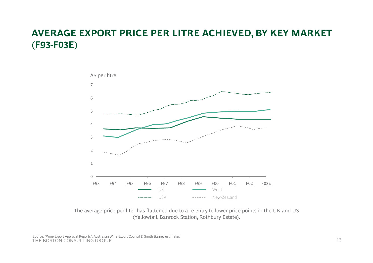## **AVERAGE EXPORT PRICE PER LITRE ACHIEVED, BY KEY MARKET (F93 -F03E)**



The average price per liter has flattened due to a re-entry to lower price points in the UK and US (Yellowtail, Banrock Station, Rothbury Estate).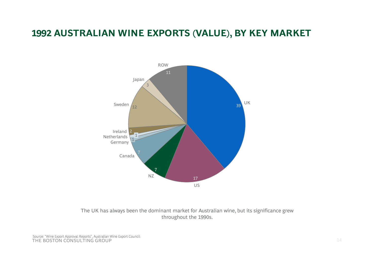## **1992 AUSTRALIAN WINE EXPORTS (VALUE), BY KEY MARKET**



The UK has always been the dominant market for Australian wine, but its significance grew throughout the 1990s.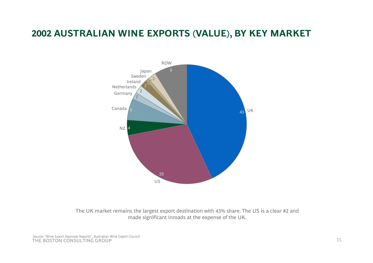## **2002 AUSTRALIAN WINE EXPORTS (VALUE), BY KEY MARKET**



The UK market remains the largest export destination with 43% share. The US is a clear #2 and made significant inroads at the expense of the UK.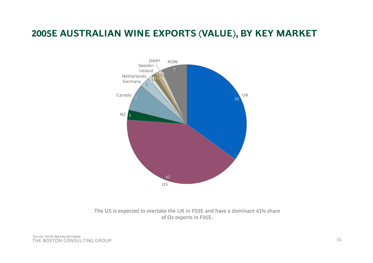## **2005E AUSTRALIAN WINE EXPORTS (VALUE), BY KEY MARKET**



The US is expected to overtake the UK in F03E and have a dominant 41% share of Oz exports in F05E.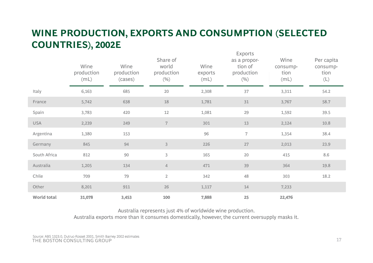## **WINE PRODUCTION, EXPORTS AND CONSUMPTION (SELECTED COUNTRIES) 2002E COUNTRIES),**  Exports

|                    | Wine<br>production<br>(mL) | Wine<br>production<br>(cases) | Share of<br>world<br>production<br>(%) | Wine<br>exports<br>(mL) | EXPORTS<br>as a propor-<br>tion of<br>production<br>(%) | Wine<br>consump-<br>tion<br>(mL) | Per capita<br>consump-<br>tion<br>$(\mathsf{L})$ |
|--------------------|----------------------------|-------------------------------|----------------------------------------|-------------------------|---------------------------------------------------------|----------------------------------|--------------------------------------------------|
| Italy              | 6,163                      | 685                           | 20                                     | 2,308                   | 37                                                      | 3,311                            | 54.2                                             |
| France             | 5,742                      | 638                           | 18                                     | 1,781                   | 31                                                      | 3,767                            | 58.7                                             |
| Spain              | 3,783                      | 420                           | $12\,$                                 | 1,081                   | 29                                                      | 1,592                            | 39.5                                             |
| <b>USA</b>         | 2,239                      | 249                           | $\boldsymbol{7}$                       | 301                     | 13                                                      | 2,124                            | 10.8                                             |
| Argentina          | 1,380                      | 153                           |                                        | 96                      | $\overline{7}$                                          | 1,354                            | 38.4                                             |
| Germany            | 845                        | 94                            | $\mathfrak{Z}$                         | 226                     | 27                                                      | 2,013                            | 23.9                                             |
| South Africa       | 812                        | 90                            | $\mathfrak{Z}$                         | 165                     | 20                                                      | 415                              | 8.6                                              |
| Australia          | 1,205                      | 134                           | $\overline{4}$                         | 471                     | 39                                                      | 364                              | 19.8                                             |
| Chile              | 709                        | 79                            | $\overline{2}$                         | 342                     | 48                                                      | 303                              | 18.2                                             |
| Other              | 8,201                      | 911                           | 26                                     | 1,117                   | $14\,$                                                  | 7,233                            |                                                  |
| <b>World total</b> | 31,078                     | 3,453                         | 100                                    | 7,888                   | 25                                                      | 22,476                           |                                                  |

Australia represents just 4% of worldwide wine production.

Australia exports more than it consumes domestically, however, the current oversupply masks it.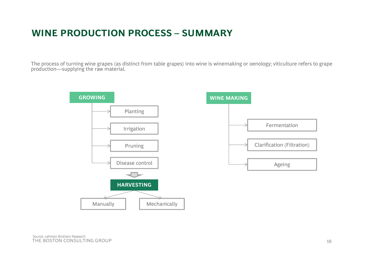# **WINE PRODUCTION PROCESS – SUMMARY**

The process of turning wine grapes (as distinct from table grapes) into wine is winemaking or oenology; viticulture refers to grape production—supplying the raw material.

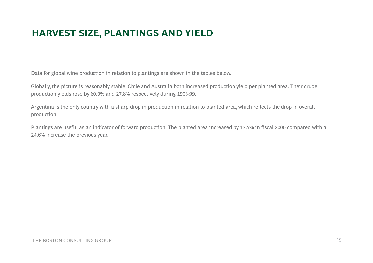# **HARVEST SIZE, PLANTINGS AND YIELD**

Data for global wine production in relation to plantings are shown in the tables below.

Globally, the picture is reasonably stable. Chile and Australia both increased production yield per planted area. Their crude production yields rose by 60.0% and 27.8% respectively during 1993-99.

Argentina is the only country with a sharp drop in production in relation to planted area, which reflects the drop in overall production.

Plantings are useful as an indicator of forward production. The planted area increased by 13.7% in fiscal 2000 compared with a 24.6% increase the previous year.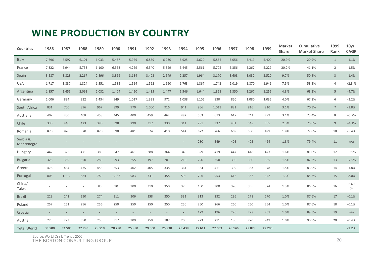## **WINE PRODUCTION BY COUNTRY**

| <b>Countries</b>       | 1986   | 1987   | 1988   | 1989   | 1990   | 1991   | 1992   | 1993   | 1994   | 1995   | 1996   | 1997   | 1998   | 1999   | <b>Market</b><br><b>Share</b> | Cumulative<br><b>Market Share</b> | 1999<br>Rank    | 10yr<br><b>CAGR</b> |
|------------------------|--------|--------|--------|--------|--------|--------|--------|--------|--------|--------|--------|--------|--------|--------|-------------------------------|-----------------------------------|-----------------|---------------------|
| Italy                  | 7.696  | 7.597  | 6.101  | 6.033  | 5.487  | 5.979  | 6.869  | 6.230  | 5.925  | 5.620  | 5.854  | 5.056  | 5.419  | 5.400  | 20.9%                         | 20.9%                             | $\mathbf{1}$    | $-1.1%$             |
| France                 | 7.322  | 6.944  | 5.753  | 6.100  | 6.553  | 4.269  | 6.540  | 5.329  | 5.445  | 5.561  | 5.705  | 5.356  | 5.267  | 5.229  | 20.2%                         | 41.1%                             | $\overline{2}$  | $-1.5%$             |
| Spain                  | 3.587  | 3.828  | 2.267  | 2.896  | 3.866  | 3.134  | 3.403  | 2.549  | 2.257  | 1.964  | 3.170  | 3.608  | 3.032  | 2.520  | 9.7%                          | 50.8%                             | $\overline{3}$  | $-1.4%$             |
| <b>USA</b>             | 1.717  | 1.837  | 1.824  | 1.551  | 1.585  | 1.514  | 1.562  | 1.660  | 1.763  | 1.867  | 1.742  | 2.019  | 1.870  | 1.946  | 7.5%                          | 58.3%                             | $\overline{4}$  | $+2.3.%$            |
| Argentina              | 1.857  | 2.455  | 2.063  | 2.032  | 1.404  | 1.450  | 1.435  | 1.447  | 1.546  | 1.644  | 1.368  | 1.350  | 1.267  | 1.251  | 4.8%                          | 63.2%                             | 5               | $-4.7%$             |
| Germany                | 1.006  | 894    | 932    | 1.434  | 949    | 1.017  | 1.338  | 972    | 1.038  | 1.105  | 830    | 850    | 1.080  | 1.035  | 4.0%                          | 67.2%                             | 6               | $-3.2%$             |
| South Africa           | 831    | 700    | 896    | 967    | 899    | 970    | 1.000  | 916    | 941    | 966    | 1.013  | 881    | 816    | 810    | 3.1%                          | 70.3%                             | $7\overline{ }$ | $-1.8%$             |
| Australia              | 402    | 400    | 408    | 458    | 445    | 400    | 459    | 462    | 482    | 503    | 673    | 617    | 742    | 799    | 3.1%                          | 73.4%                             | 8               | $+5.7%$             |
| Chile                  | 330    | 440    | 423    | 390    | 398    | 290    | 317    | 330    | 311    | 291    | 337    | 431    | 548    | 585    | 2.3%                          | 75.6%                             | 9               | $+4.1%$             |
| Romania                | 870    | 870    | 870    | 870    | 590    | 481    | 574    | 410    | 541    | 672    | 766    | 669    | 500    | 499    | 1.9%                          | 77.6%                             | 10              | $-5.4%$             |
| Serbia &<br>Montenegro |        |        |        |        |        |        |        |        |        | 280    | 349    | 403    | 403    | 464    | 1.8%                          | 79.4%                             | 11              | n/a                 |
| Hungary                | 442    | 326    | 471    | 385    | 547    | 461    | 388    | 364    | 346    | 329    | 419    | 447    | 418    | 423    | 1.6%                          | 81.0%                             | 12              | $+0.9%$             |
| <b>Bulgaria</b>        | 326    | 359    | 350    | 289    | 293    | 255    | 197    | 201    | 210    | 220    | 350    | 330    | 330    | 385    | 1.5%                          | 82.5%                             | 13              | $+2.9%$             |
| Greece                 | 478    | 434    | 435    | 453    | 353    | 402    | 405    | 338    | 361    | 384    | 411    | 399    | 383    | 378    | 1.5%                          | 83.9%                             | 14              | $-1.8%$             |
| Portugal               | 806    | 1.112  | 884    | 789    | 1.137  | 983    | 741    | 458    | 592    | 726    | 953    | 612    | 362    | 342    | 1.3%                          | 85.3%                             | 15              | $-8.0%$             |
| China/<br>Taiwan       |        |        |        | 85     | 90     | 300    | 310    | 350    | 375    | 400    | 300    | 320    | 355    | 324    | 1.3%                          | 86.5%                             | 16              | $+14.3$<br>%        |
| <b>Brazil</b>          | 229    | 242    | 250    | 274    | 311    | 306    | 358    | 350    | 331    | 313    | 232    | 296    | 278    | 270    | 1.0%                          | 87.6%                             | 17              | $-0.1%$             |
| Poland                 | 257    | 261    | 256    | 256    | 250    | 250    | 250    | 250    | 250    | 250    | 266    | 260    | 260    | 254    | 1.0%                          | 87.6%                             | 18              | $-0.1%$             |
| Croatia                |        |        |        |        |        |        |        |        | ÷.     | 179    | 196    | 226    | 228    | 251    | 1.0%                          | 89.5%                             | 19              | n/a                 |
| Austria                | 223    | 223    | 350    | 258    | 317    | 309    | 259    | 187    | 205    | 223    | 211    | 180    | 270    | 249    | 1.0%                          | 90.5%                             | 20              | $-0.4%$             |
| <b>Total World</b>     | 33.500 | 32.500 | 27.790 | 28.510 | 28.290 | 25.850 | 29.350 | 25.930 | 25.439 | 25.611 | 27.053 | 26.146 | 25.878 | 25.200 |                               |                                   |                 | $-1.2%$             |

THE BOSTON CONSULTING GROUPSource: World Drink Trends 2000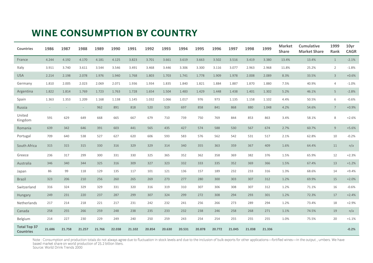## **WINE CONSUMPTION BY COUNTRY**

| <b>Countries</b>                        | 1986   | 1987   | 1988   | 1989   | 1990   | 1991   | 1992   | 1993   | 1994   | 1995   | 1996   | 1997   | 1998   | 1999   | <b>Market</b><br><b>Share</b> | <b>Cumulative</b><br><b>Market Share</b> | 1999<br><b>Rank</b> | 10yr<br><b>CAGR</b> |
|-----------------------------------------|--------|--------|--------|--------|--------|--------|--------|--------|--------|--------|--------|--------|--------|--------|-------------------------------|------------------------------------------|---------------------|---------------------|
| France                                  | 4.244  | 4.192  | 4.170  | 4.181  | 4.125  | 3.823  | 3.701  | 3.661  | 3.619  | 3.663  | 3.502  | 3.516  | 3.419  | 3.380  | 13.4%                         | 13.4%                                    | $\mathbf{1}$        | $-2.1%$             |
| Italy                                   | 3.911  | 3.740  | 3.611  | 3.544  | 3.546  | 3.491  | 3.468  | 3.446  | 3.306  | 3.300  | 3.116  | 3.077  | 2.963  | 2.968  | 11.8%                         | 25.2%                                    | $\overline{2}$      | $-1.8%$             |
| <b>USA</b>                              | 2.214  | 2.198  | 2.078  | 1.976  | 1.940  | 1.768  | 1.803  | 1.703  | 1.741  | 1.778  | 1.909  | 1.978  | 2.008  | 2.089  | 8.3%                          | 33.5%                                    | $\overline{3}$      | $+0.6%$             |
| Germany                                 | 1.810  | 2.005  | 2.023  | 2.069  | 2.071  | 1.936  | 1.934  | 1.835  | 1.840  | 1.821  | 1.884  | 1.887  | 1.870  | 1.880  | 7.5%                          | 40.9%                                    | $\overline{4}$      | $-1.0%$             |
| Argentina                               | 1.822  | 1.814  | 1.769  | 1.723  | 1.763  | 1.728  | 1.654  | 1.504  | 1.483  | 1.429  | 1.448  | 1.438  | 1.401  | 1.302  | 5.2%                          | 46.1%                                    | 5                   | $-2.8%$             |
| Spain                                   | 1.363  | 1.353  | 1.209  | 1.168  | 1.138  | 1.145  | 1.032  | 1.066  | 1.017  | 976    | 973    | 1.135  | 1.158  | 1.102  | 4.4%                          | 50.5%                                    | 6                   | $-0.6%$             |
| Russia                                  |        |        | $\sim$ | 962    | 891    | 818    | 520    | 519    | 697    | 858    | 841    | 868    | 880    | 1.048  | 4.2%                          | 54.6%                                    | $7\overline{ }$     | $+0.9%$             |
| United<br>Kingdom                       | 591    | 629    | 649    | 668    | 665    | 667    | 679    | 710    | 739    | 750    | 769    | 844    | 853    | 863    | 3.4%                          | 58.1%                                    | 8                   | $+2.6%$             |
| Romania                                 | 639    | 342    | 646    | 391    | 603    | 441    | 565    | 435    | 427    | 574    | 588    | 530    | 567    | 674    | 2.7%                          | 60.7%                                    | 9                   | $+5.6%$             |
| Portugal                                | 709    | 640    | 538    | 527    | 627    | 620    | 606    | 593    | 583    | 576    | 562    | 542    | 531    | 517    | 2.1%                          | 62.8%                                    | 10                  | $-0.2%$             |
| South Africa                            | 315    | 315    | 315    | 330    | 316    | 329    | 329    | 314    | 340    | 355    | 363    | 359    | 367    | 409    | 1.6%                          | 64.4%                                    | 11                  | n/a                 |
| Greece                                  | 236    | 317    | 299    | 300    | 331    | 330    | 325    | 365    | 352    | 362    | 358    | 369    | 382    | 376    | 1.5%                          | 65.9%                                    | 12                  | $+2.3%$             |
| Australia                               | 346    | 340    | 344    | 325    | 316    | 309    | 327    | 323    | 332    | 333    | 335    | 352    | 369    | 366    | 1.5%                          | 67.4%                                    | 13                  | $+1.2%$             |
| Japan                                   | 86     | 99     | 118    | 129    | 135    | 117    | 101    | 121    | 136    | 157    | 189    | 232    | 233    | 316    | 1.3%                          | 68.6%                                    | 14                  | $+9.4%$             |
| <b>Brazil</b>                           | 323    | 206    | 210    | 256    | 260    | 265    | 269    | 273    | 277    | 280    | 300    | 303    | 307    | 312    | 1.2%                          | 69.9%                                    | 15                  | $+2.0%$             |
| Switzerland                             | 316    | 324    | 329    | 329    | 331    | 320    | 316    | 319    | 310    | 307    | 306    | 308    | 307    | 312    | 1.2%                          | 71.1%                                    | 16                  | $-0.6%$             |
| Hungary                                 | 249    | 231    | 220    | 237    | 287    | 299    | 307    | 324    | 299    | 272    | 308    | 294    | 293    | 301    | 1.2%                          | 72.3%                                    | 17                  | $+2.4%$             |
| Netherlands                             | 217    | 214    | 218    | 221    | 217    | 231    | 242    | 232    | 241    | 256    | 266    | 273    | 289    | 294    | 1.2%                          | 73.4%                                    | 18                  | $+2.9%$             |
| Canada                                  | 258    | 255    | 266    | 259    | 248    | 238    | 235    | 233    | 232    | 238    | 246    | 258    | 268    | 271    | 1.1%                          | 74.5%                                    | 19                  | n/a                 |
| Belgium                                 | 214    | 227    | 230    | 229    | 249    | 240    | 250    | 259    | 243    | 254    | 254    | 255    | 255    | 255    | 1.0%                          | 75.5%                                    | 20                  | $+1.1%$             |
| <b>Total Top 37</b><br><b>Countries</b> | 21.686 | 21.758 | 21.257 | 21.766 | 22.038 | 21.102 | 20.854 | 20.630 | 20.531 | 20.878 | 20.772 | 21.045 | 21.038 | 21.336 |                               |                                          |                     | $-0.2%$             |

Note : Consumption and production totals do not always agree due to fluctuation in stock levels and due to the inclusion of bulk exports for other applications—fortified wines—in the output , umbers. We have based market share on world production of 25.2 billion liters. Source: World Drink Trends 2000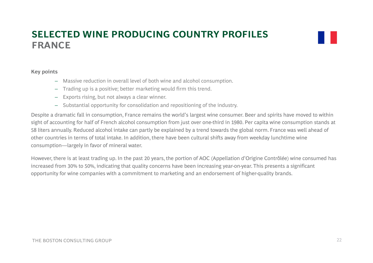## **SELECTED WINE PRODUCING COUNTRY PROFILESA CFRNE**

#### **Key points**

- Massive reduction in overall level of both wine and alcohol consumption.
- Trading up is a positive; better marketing would firm this trend.
- Exports rising, but not always a clear winner.
- Substantial opportunity for consolidation and repositioning of the industry.

Despite a dramatic fall in consumption, France remains the world's largest wine consumer. Beer and spirits have moved to within sight of accounting for half of French alcohol consumption from just over one-third in 1980. Per capita wine consumption stands at 58 liters annually. Reduced alcohol intake can partly be explained by a trend towards the global norm. France was well ahead of other countries in terms of total intake. In addition, there have been cultural shifts away from weekday lunchtime wine consumption—largely in favor of mineral water.

However, there is at least trading up. In the past 20 years, the portion of AOC (Appellation d'Origine Contrôlée) wine consumed has increased from 30% to 50%, indicating that quality concerns have been increasing year-on-year. This presents a significant opportunity for wine companies with a commitment to marketing and an endorsement of higher-quality brands.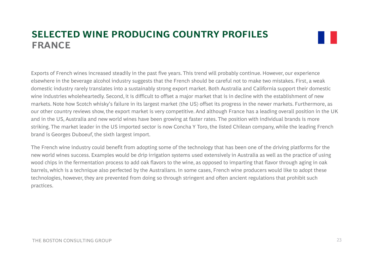## **SELECTED WINE PRODUCING COUNTRY PROFILESA CFRNE**

Exports of French wines increased steadily in the past five years. This trend will probably continue. However, our experience elsewhere in the beverage alcohol industry suggests that the French should be careful not to make two mistakes. First, a weak domestic industry rarely translates into a sustainably strong export market. Both Australia and California support their domestic wine industries wholeheartedly. Second, it is difficult to offset a major market that is in decline with the establishment of new markets. Note how Scotch whisky's failure in its largest market (the US) offset its progress in the newer markets. Furthermore, as our other country reviews show, the export market is very competitive. And although France has a leading overall position in the UK and in the US, Australia and new world wines have been growing at faster rates. The position with individual brands is more striking. The market leader in the US imported sector is now Concha Y Toro, the listed Chilean company, while the leading French brand is Georges Duboeuf, the sixth largest import.

The French wine industry could benefit from adopting some of the technology that has been one of the driving platforms for the new world wines success. Examples would be drip irrigation systems used extensively in Australia as well as the practice of using wood chips in the fermentation process to add oak flavors to the wine, as opposed to imparting that flavor through aging in oak barrels, which is a technique also perfected by the Australians. In some cases, French wine producers would like to adopt these technologies, however, they are prevented from doing so through stringent and often ancient regulations that prohibit such practices.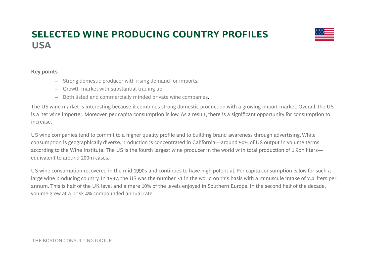## **SELECTED WINE PRODUCING COUNTRY PROFILES**USA



#### **Key points**

- Strong domestic producer with rising demand for imports.
- Growth market with substantial trading up.
- Both listed and commercially minded private wine companies.

The US wine market is interesting because it combines strong domestic production with a growing import market. Overall, the US is a net wine importer. Moreover, per capita consumption is low. As a result, there is a significant opportunity for consumption to increase.

US wine companies tend to commit to a higher quality profile and to building brand awareness through advertising. While consumption is geographically diverse, production is concentrated in California—around 90% of US output in volume terms according to the Wine Institute. The US is the fourth largest wine producer in the world with total production of 1.9bn liters equivalent to around 200m cases.

US wine consumption recovered in the mid-1990s and continues to have high potential. Per capita consumption is low for such a large wine producing country. In 1997, the US was the number 31 in the world on this basis with a minuscule intake of 7.4 liters per annum. This is half of the UK level and a mere 10% of the levels enjoyed in Southern Europe. In the second half of the decade, volume grew at a brisk 4% compounded annual rate.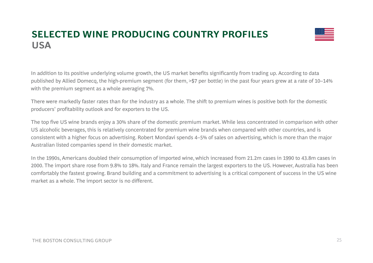## **SELECTED WINE PRODUCING COUNTRY PROFILES**USA



In addition to its positive underlying volume growth, the US market benefits significantly from trading up. According to data published by Allied Domecq, the high-premium segment (for them, >\$7 per bottle) in the past four years grew at a rate of 10–14% with the premium segment as a whole averaging 7%.

There were markedly faster rates than for the industry as a whole. The shift to premium wines is positive both for the domestic producers' profitability outlook and for exporters to the US.

The top five US wine brands enjoy a 30% share of the domestic premium market. While less concentrated in comparison with other US alcoholic beverages, this is relatively concentrated for premium wine brands when compared with other countries, and is consistent with a higher focus on advertising. Robert Mondavi spends 4–5% of sales on advertising, which is more than the major Australian listed companies spend in their domestic market.

In the 1990s, Americans doubled their consumption of imported wine, which increased from 21.2m cases in 1990 to 43.8m cases in 2000. The import share rose from 9.8% to 18%. Italy and France remain the largest exporters to the US. However, Australia has been comfortably the fastest growing. Brand building and a commitment to advertising is a critical component of success in the US wine market as a whole. The import sector is no different.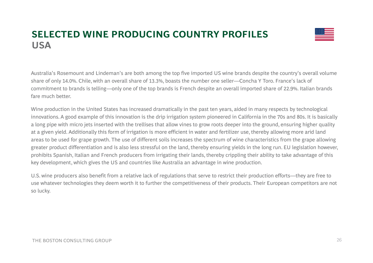## **SELECTED WINE PRODUCING COUNTRY PROFILES**USA



Australia's Rosemount and Lindeman's are both among the top five imported US wine brands despite the country's overall volume share of only 14.0%. Chile, with an overall share of 13.3%, boasts the number one seller—Concha Y Toro. France's lack of commitment to brands is telling—only one of the top brands is French despite an overall imported share of 22.9%. Italian brands fare much better.

Wine production in the United States has increased dramatically in the past ten years, aided in many respects by technological innovations. A good example of this innovation is the drip irrigation system pioneered in California in the 70s and 80s. It is basically a long pipe with micro jets inserted with the trellises that allow vines to grow roots deeper into the ground, ensuring higher quality at a given yield. Additionally this form of irrigation is more efficient in water and fertilizer use, thereby allowing more arid land areas to be used for grape growth. The use of different soils increases the spectrum of wine characteristics from the grape allowing greater product differentiation and is also less stressful on the land, thereby ensuring yields in the long run. EU legislation however, prohibits Spanish, Italian and French producers from irrigating their lands, thereby crippling their ability to take advantage of this key development, which gives the US and countries like Australia an advantage in wine production.

U.S. wine producers also benefit from a relative lack of regulations that serve to restrict their production efforts—they are free to use whatever technologies they deem worth it to further the competitiveness of their products. Their European competitors are not so lucky.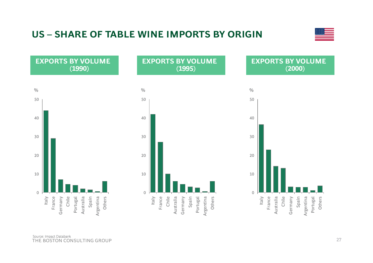## **US – SHARE OF TABLE WINE IMPORTS BY ORIGIN**





Others

Portugal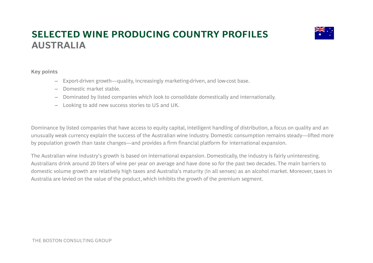## **SELECTED WINE PRODUCING COUNTRY PROFILES** $A$ **USTRALIA**



#### **Key points**

- Export-driven growth—quality, increasingly marketing-driven, and low-cost base.
- Domestic market stable.
- Dominated by listed companies which look to consolidate domestically and internationally.
- Looking to add new success stories to US and UK.

Dominance by listed companies that have access to equity capital, intelligent handling of distribution, a focus on quality and an unusually weak currency explain the success of the Australian wine industry. Domestic consumption remains steady—lifted more by population growth than taste changes—and provides a firm financial platform for international expansion.

The Australian wine industry's growth is based on international expansion. Domestically, the industry is fairly uninteresting. Australians drink around 20 liters of wine per year on average and have done so for the past two decades. The main barriers to domestic volume growth are relatively high taxes and Australia's maturity (in all senses) as an alcohol market. Moreover, taxes in Australia are levied on the value of the product, which inhibits the growth of the premium segment.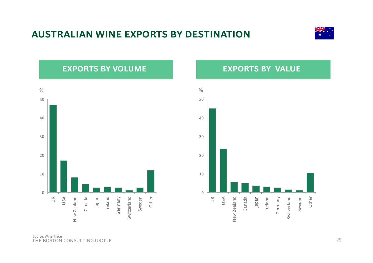## **AUSTRALIAN WINE EXPORTS BY DESTINATION**



## **EXPORTS BY VOLUME**



## **EXPORTS BY VALUE**



THE BOSTON CONSULTING GROUP Source: Wine Trade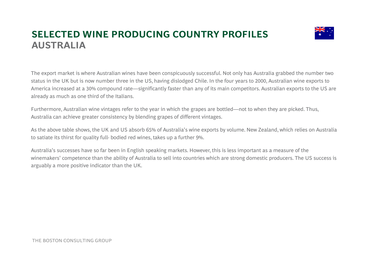## **SELECTED WINE PRODUCING COUNTRY PROFILES** $A$ **USTRALIA**



The export market is where Australian wines have been conspicuously successful. Not only has Australia grabbed the number two status in the UK but is now number three in the US, having dislodged Chile. In the four years to 2000, Australian wine exports to America increased at a 30% compound rate—significantly faster than any of its main competitors. Australian exports to the US ar e already as much as one third of the Italians.

Furthermore, Australian wine vintages refer to the year in which the grapes are bottled—not to when they are picked. Thus, Australia can achieve greater consistency by blending grapes of different vintages.

As the above table shows, the UK and US absorb 65% of Australia's wine exports by volume. New Zealand, which relies on Australia to satiate its thirst for quality full- bodied red wines, takes up a further 9%.

Australia's successes have so far been in English speaking markets. However, this is less important as a measure of the winemakers' competence than the ability of Australia to sell into countries which are strong domestic producers. The US success is arguably a more positive indicator than the UK.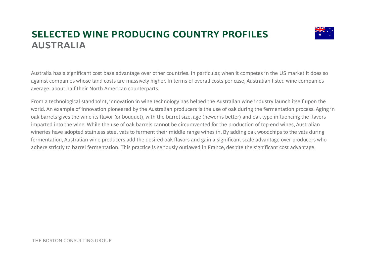## **SELECTED WINE PRODUCING COUNTRY PROFILES** $A$ **USTRALIA**



Australia has a significant cost base advantage over other countries. In particular, when it competes in the US market it does so against companies whose land costs are massively higher. In terms of overall costs per case, Australian listed wine companies average, about half their North American counterparts.

From a technological standpoint, innovation in wine technology has helped the Australian wine industry launch itself upon the world. An example of innovation pioneered by the Australian producers is the use of oak during the fermentation process. Aging in oak barrels gives the wine its flavor (or bouquet), with the barrel size, age (newer is better) and oak type influencing the flavors imparted into the wine. While the use of oak barrels cannot be circumvented for the production of top-end wines, Australian wineries have adopted stainless steel vats to ferment their middle range wines in. By adding oak woodchips to the vats during fermentation, Australian wine producers add the desired oak flavors and gain a significant scale advantage over producers who adhere strictly to barrel fermentation. This practice is seriously outlawed in France, despite the significant cost advantage.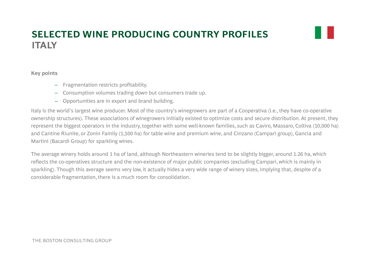## **SELECTED WINE PRODUCING COUNTRY PROFILESAIT LY**

**K it Key points**

- Fragmentation restricts profitability.
- Consumption volumes trading down but consumers trade up.
- $-$  Opportunities are in export and brand building.

Italy is the world's largest wine producer. Most of the country's winegrowers are part of a Cooperativa (i.e., they have co-operative ownership structures). These associations of winegrowers initially existed to optimize costs and secure distribution. At present, they represent the biggest operators in the industry, together with some well-known families, such as Caviro, Massaro, Coltiva (10,000 ha) and Cantine Riunite, or Zonin Family (1,500 ha) for table wine and premium wine, and Cinzano (Campari group), Gancia and Martini (Bacardi Group) for sparkling wines.

The average winery holds around 1 ha of land, although Northeastern wineries tend to be slightly bigger, around 1.26 ha, which reflects the co-operatives structure and the non-existence of major public companies (excluding Campari, which is mainly in sparkling). Though this average seems very low, it actually hides a very wide range of winery sizes, implying that, despite of a considerable fragmentation, there is a much room for consolidation.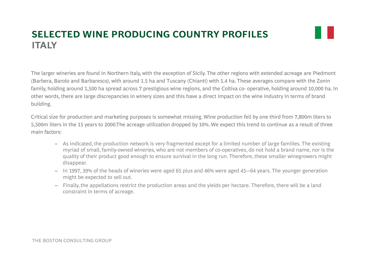## **SELECTED WINE PRODUCING COUNTRY PROFILESAIT LY**

The larger wineries are found in Northern Italy, with the exception of Sicily. The other regions with extended acreage are Piedmont (Barbera, Barolo and Barbaresco), with around 1.5 ha and Tuscany (Chianti) with 1.4 ha. These averages compare with the Zonin family, holding around 1,500 ha spread across 7 prestigious wine regions, and the Coltiva co- operative, holding around 10,000 ha. In other words, there are large discrepancies in winery sizes and this have a direct impact on the wine industry in terms of brand building.

Critical size for production and marketing purposes is somewhat missing. Wine production fell by one third from 7,800m liters to 5,500m liters in the 15 years to 2000.The acreage utilization dropped by 10%. We expect this trend to continue as a result of three main factors:

- As indicated, the production network is very fragmented except for a limited number of large families. The existing myriad of small, family-owned wineries, who are not members of co-operatives, do not hold a brand name, nor is the quality of their product good enough to ensure survival in the long run. Therefore, these smaller winegrowers might disappear.
- In 1997, 39% of the heads of wineries were aged 65 plus and 46% were aged 45-–64 years. The younger generation might be expected to sell out.
- Finally, the appellations restrict the production areas and the yields per hectare. Therefore, there will be a land constraint in terms of acreage.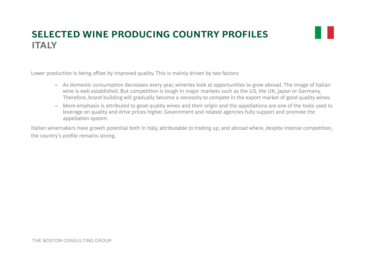## **SELECTED WINE PRODUCING COUNTRY PROFILESAIT LY**

H

Lower production is being offset by improved quality. This is mainly driven by two factors:

- As domestic consumption decreases every year, wineries look at opportunities to grow abroad. The image of Italian wine is well established. But competition is tough in major markets such as the US, the UK, Japan or Germany. Therefore, brand building will gradually become a necessity to compete in the export market of good quality wines.
- More emphasis is attributed to good quality wines and their origin and the appellations are one of the tools used to leverage on quality and drive prices higher. Government and related agencies fully support and promote the appellation system.

Italian winemakers have growth potential both in Italy, attributable to trading up, and abroad where, despite intense competition, the country's profile remains strong.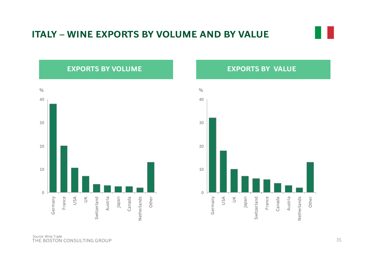## **ITALY – WINE EXPORTS BY VOLUME AND BY VALUE**

## **EXPORTS BY VOLUME**



## **EXPORTS BY VALUE**



THE BOSTON CONSULTING GROUPSource: Wine Trade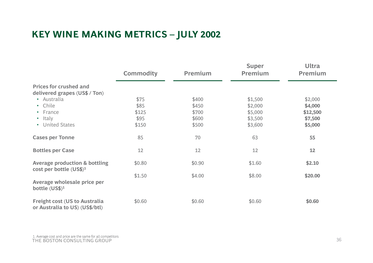# **KEY WINE MAKING METRICS – JULY 2002**

|                                                                        | <b>Commodity</b> | <b>Premium</b> | <b>Super</b><br><b>Premium</b> | <b>Ultra</b><br><b>Premium</b> |
|------------------------------------------------------------------------|------------------|----------------|--------------------------------|--------------------------------|
| <b>Prices for crushed and</b>                                          |                  |                |                                |                                |
| delivered grapes (US\$ / Ton)                                          |                  |                |                                |                                |
| • Australia                                                            | \$75             | \$400          | \$1,500                        | \$2,000                        |
| • Chile                                                                | \$85             | \$450          | \$2,000                        | \$4,000                        |
| • France                                                               | \$125            | \$700          | \$5,000                        | \$12,500                       |
| • Italy                                                                | \$95             | \$600          | \$3,500                        | \$7,500                        |
| • United States                                                        | \$150            | \$500          | \$3,600                        | \$5,000                        |
| <b>Cases per Tonne</b>                                                 | 85               | 70             | 63                             | 55                             |
| <b>Bottles per Case</b>                                                | 12               | 12             | 12                             | 12                             |
| <b>Average production &amp; bottling</b><br>cost per bottle $(US$)^1$  | \$0.80           | \$0.90         | \$1.60                         | \$2.10                         |
|                                                                        | \$1.50           | \$4.00         | \$8.00                         | \$20.00                        |
| Average wholesale price per<br>bottle $(US$)^1$                        |                  |                |                                |                                |
| <b>Freight cost (US to Australia</b><br>or Australia to US) (US\$/btl) | \$0.60           | \$0.60         | \$0.60                         | \$0.60                         |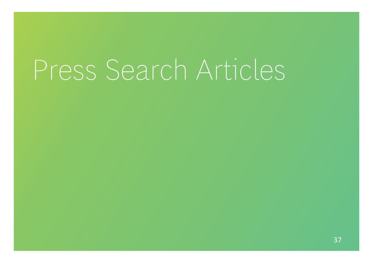# Press Search Articles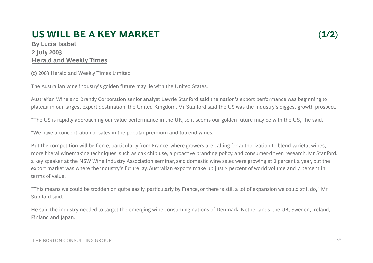# **US WILL BE A KEY MARKET**

**By Lucia Isabel** By Lucia Isabel<br>2 July 2003 **Herald and Weekly Times**

(c) 2003 Herald and Weekly Times Limited

The Australian wine industry's golden future may lie with the United States.

Australian Wine and Brandy Corporation senior analyst Lawrie Stanford said the nation's export performance was beginning to plateau in our largest export destination, the United Kingdom. Mr Stanford said the US was the industry's biggest growth prospect.

"The US is rapidly approaching our value performance in the UK, so it seems our golden future may be with the US," he said.

"We have a concentration of sales in the popular premium and top-end wines."

But the competition will be fierce, particularly from France, where growers are calling for authorization to blend varietal wines, more liberal winemaking techniques, such as oak chip use, a proactive branding policy, and consumer-driven research. Mr Stanford, a key speaker at the NSW Wine Industry Association seminar, said domestic wine sales were growing at 2 percent a year, but the export market was where the industry's future lay. Australian exports make up just 5 percent of world volume and 7 percent in terms of value.

"This means we could be trodden on quite easily, particularly by France, or there is still a lot of expansion we could still do," Mr Stanford said.

He said the industry needed to target the emerging wine consuming nations of Denmark, Netherlands, the UK, Sweden, Ireland, Finland and Japan.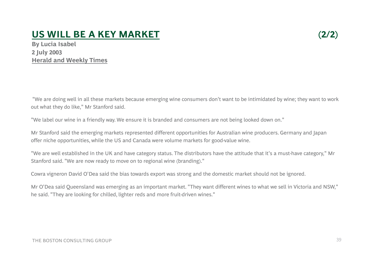#### **US WILL BE A KEY MARKET(2/2)**

**ia Isabel** By Lucia Isabel<br>2 July 2003 **Herald and Weekly Times**

"We are doing well in all these markets because emerging wine consumers don't want to be intimidated by wine; they want to work out what they do like," Mr Stanford said.

"We label our wine in a friendly way. We ensure it is branded and consumers are not being looked down on."

Mr Stanford said the emerging markets represented different opportunities for Australian wine producers. Germany and Japan offer niche opportunities, while the US and Canada were volume markets for good-value wine.

"We are well established in the UK and have category status. The distributors have the attitude that it's a must-have category," Mr Stanford said. "We are now ready to move on to regional wine (branding)."

Cowra vigneron David O'Dea said the bias towards export was strong and the domestic market should not be ignored.

Mr O'Dea said Queensland was emerging as an important market. "They want different wines to what we sell in Victoria and NSW," he said. "They are looking for chilled, lighter reds and more fruit-driven wines."

#### THE BOSTON CONSULTING GROUP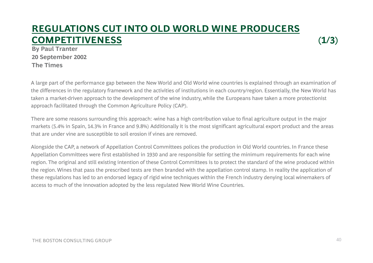#### **REGULATIONS CUT INTO OLD WORLD WINE PRODUCERS COMPETITIVENESS** $S$  (1/3)

**By Paul Tranter 20 September 2002 The Times**

A large part of the performance gap between the New World and Old World wine countries is explained through an examination of the differences in the regulatory framework and the activities of institutions in each country/region. Essentially, the New World has taken a market-driven approach to the development of the wine industry, while the Europeans have taken a more protectionist approach facilitated through the Common Agriculture Policy (CAP).

There are some reasons surrounding this approach: -wine has a high contribution value to final agriculture output in the major markets (5.4% in Spain, 14.3% in France and 9.8%) Additionally it is the most significant agricultural export product and the areas that are under vine are susceptible to soil erosion if vines are removed.

Alongside the CAP, a network of Appellation Control Committees polices the production in Old World countries. In France these Appellation Committees were first established in 1930 and are responsible for setting the minimum requirements for each wine region. The original and still existing intention of these Control Committees is to protect the standard of the wine produced within the region. Wines that pass the prescribed tests are then branded with the appellation control stamp. In reality the application of these regulations has led to an endorsed legacy of rigid wine techniques within the French industry denying local winemakers of access to much of the innovation adopted by the less regulated New World Wine Countries.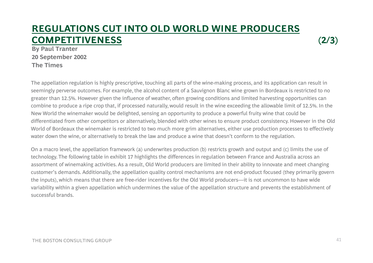#### **REGULATIONS CUT INTO OLD WORLD WINE PRODUCERS COMPETITIVENESS(2/3)**

**By Paul Tranter 20 September 2002 The Times**

The appellation regulation is highly prescriptive, touching all parts of the wine-making process, and its application can result in seemingly perverse outcomes. For example, the alcohol content of a Sauvignon Blanc wine grown in Bordeaux is restricted to no greater than 12.5%. However given the influence of weather, often growing conditions and limited harvesting opportunities can combine to produce a ripe crop that, if processed naturally, would result in the wine exceeding the allowable limit of 12.5%. In the New World the winemaker would be delighted, sensing an opportunity to produce a powerful fruity wine that could be differentiated from other competitors or alternatively, blended with other wines to ensure product consistency. However in the Old World of Bordeaux the winemaker is restricted to two much more grim alternatives, either use production processes to effectively water down the wine, or alternatively to break the law and produce a wine that doesn't conform to the regulation.

On a macro level, the appellation framework (a) underwrites production (b) restricts growth and output and (c) limits the use of technology. The following table in exhibit 17 highlights the differences in regulation between France and Australia across an assortment of winemaking activities. As a result, Old World producers are limited in their ability to innovate and meet changin g customer's demands. Additionally, the appellation quality control mechanisms are not end-product focused (they primarily govern the inputs), which means that there are free-rider incentives for the Old World producers—it is not uncommon to have wide variability within a given appellation which undermines the value of the appellation structure and prevents the establishment of successful brands.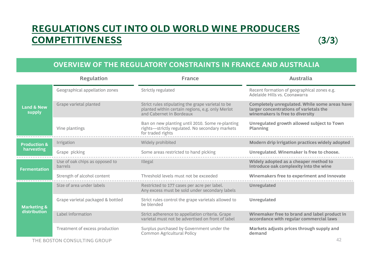### **REGULATIONS CUT INTO OLD WORLD WINE PRODUCERS COMPETITIVENESS(3/3)**



|                                 | <b>Regulation</b>                         | <b>France</b>                                                                                                                     | <b>Australia</b>                                                                                                           |  |  |
|---------------------------------|-------------------------------------------|-----------------------------------------------------------------------------------------------------------------------------------|----------------------------------------------------------------------------------------------------------------------------|--|--|
|                                 | Geographical appellation zones            | Strictly regulated                                                                                                                | Recent formation of geographical zones e.g.<br>Adelaide Hills vs. Coonawarra                                               |  |  |
| <b>Land &amp; New</b><br>supply | Grape varietal planted                    | Strict rules stipulating the grape varietal to be<br>planted within certain regions, e.g. only Merlot<br>and Cabernet in Bordeaux | Completely unregulated. While some areas have<br>larger concentrations of varietals the<br>winemakers is free to diversity |  |  |
|                                 | Vine plantings                            | Ban on new planting until 2010. Some re-planting<br>rights-strictly regulated. No secondary markets<br>for traded rights          | Unregulated growth allowed subject to Town<br>Planning                                                                     |  |  |
| <b>Production &amp;</b>         | Irrigation                                | Widely prohibited                                                                                                                 | Modern drip irrigation practices widely adopted                                                                            |  |  |
| harvesting                      | Grape picking                             | Some areas restricted to hand picking                                                                                             | Unregulated. Winemaker is free to choose.                                                                                  |  |  |
| <b>Fermentation</b>             | Use of oak chips as opposed to<br>barrels | Illegal                                                                                                                           | Widely adopted as a cheaper method to<br>introduce oak complexity into the wine                                            |  |  |
|                                 | Strength of alcohol content               | Threshold levels must not be exceeded                                                                                             | Winemakers free to experiment and innovate                                                                                 |  |  |
|                                 | Size of area under labels                 | Restricted to 177 cases per acre per label.<br>Any excess must be sold under secondary labels                                     | <b>Unregulated</b>                                                                                                         |  |  |
| <b>Marketing &amp;</b>          | Grape varietal packaged & bottled         | Strict rules control the grape varietals allowed to<br>be blended                                                                 | Unregulated                                                                                                                |  |  |
| <b>distribution</b>             | Label information                         | Strict adherence to appellation criteria. Grape<br>varietal must not be advertised on front of label                              | Winemaker free to brand and label product in<br>accordance with regular commercial laws                                    |  |  |
|                                 | Treatment of excess production            | Surplus purchased by Government under the<br><b>Common Agricultural Policy</b>                                                    | Markets adjusts prices through supply and<br>demand                                                                        |  |  |
|                                 | THE BOSTON CONSULTING GROUP               |                                                                                                                                   | 42                                                                                                                         |  |  |

THE BOSTON CONSULTING GROUP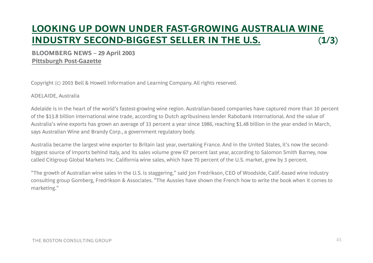# **LOOKING UP DOWN UNDER FAST-GROWING AUSTRALIA WINE INDUSTRY SECOND -BIGGEST SELLER IN THE U.S. BIGGEST (1/3)**

#### **BLOOMBERG NEWS – 29 April 2003 Pittsburgh Post-Gazette**

Copyright (c) 2003 Bell & Howell Information and Learning Company. All rights reserved.

#### ADELAIDE, Australia

Adelaide is in the heart of the world's fastest-growing wine region. Australian-based companies have captured more than 10 percent of the \$13.8 billion international wine trade, according to Dutch agribusiness lender Rabobank International. And the value of Australia's wine exports has grown an average of 33 percent a year since 1986, reaching \$1.48 billion in the year ended in March, says Australian Wine and Brandy Corp., a government regulatory body.

Australia became the largest wine exporter to Britain last year, overtaking France. And in the United States, it's now the secondbiggest source of imports behind Italy, and its sales volume grew 67 percent last year, according to Salomon Smith Barney, now called Citigroup Global Markets Inc. California wine sales, which have 70 percent of the U.S. market, grew by 3 percent.

"The growth of Australian wine sales in the U.S. is staggering," said Jon Fredrikson, CEO of Woodside, Calif.-based wine industry consulting group Gomberg, Fredrikson & Associates. "The Aussies have shown the French how to write the book when it comes to marketing."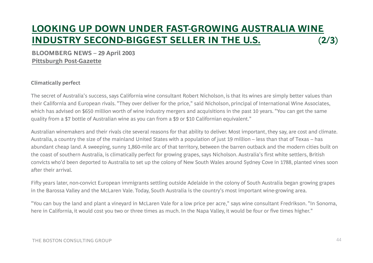# **LOOKING UP DOWN UNDER FAST-GROWING AUSTRALIA WINE INDUSTRY SECOND -BIGGEST SELLER IN THE U.S. BIGGEST (2/3)**

#### **BLOOMBERG NEWS – 29 April 2003 Pittsburgh Post-Gazette**

#### **Climatically perfect**

The secret of Australia's success, says California wine consultant Robert Nicholson, is that its wines are simply better values than their California and European rivals. "They over deliver for the price," said Nicholson, principal of International Wine Associates, which has advised on \$650 million worth of wine industry mergers and acquisitions in the past 10 years. "You can get the same quality from a \$7 bottle of Australian wine as you can from a \$9 or \$10 Californian equivalent."

Australian winemakers and their rivals cite several reasons for that ability to deliver. Most important, they say, are cost and climate. Australia, a country the size of the mainland United States with a population of just 19 million -- less than that of Texas -- has abundant cheap land. A sweeping, sunny 1,860-mile arc of that territory, between the barren outback and the modern cities built on the coast of southern Australia, is climatically perfect for growing grapes, says Nicholson. Australia's first white settlers, British convicts who'd been deported to Australia to set up the colony of New South Wales around Sydney Cove in 1788, planted vines soon the contract of the contract of the contract of the contract of the contract of the contract of the contract of after their arrival.

Fifty years later, non-convict European immigrants settling outside Adelaide in the colony of South Australia began growing grapes in the Barossa Valley and the McLaren Vale. Today, South Australia is the country's most important wine-growing area.

"You can buy the land and plant a vineyard in McLaren Vale for a low price per acre," says wine consultant Fredrikson. "In Sonoma, here in California, it would cost you two or three times as much. In the Napa Valley, it would be four or five times higher."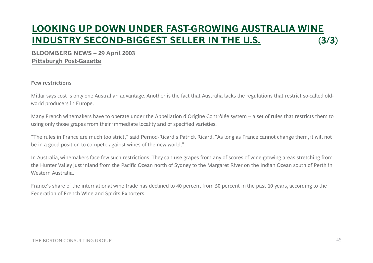# **LOOKING UP DOWN UNDER FAST-GROWING AUSTRALIA WINE INDUSTRY SECOND -BIGGEST SELLER IN THE U.S. BIGGEST (3/3)**

#### **BLOOMBERG NEWS – 29 April 2003 Pittsburgh Post-Gazette**

#### **Few restrictions**

Millar says cost is only one Australian advantage. Another is the fact that Australia lacks the regulations that restrict so-called oldworld producers in Europe.

Many French winemakers have to operate under the Appellation d'Origine Contrôlée system -- a set of rules that restricts them to using only those grapes from their immediate locality and of specified varieties.

"The rules in France are much too strict," said Pernod-Ricard's Patrick Ricard. "As long as France cannot change them, it will not be in a good position to compete against wines of the new world."

In Australia, winemakers face few such restrictions. They can use grapes from any of scores of wine-growing areas stretching from the Hunter Valley just inland from the Pacific Ocean north of Sydney to the Margaret River on the Indian Ocean south of Perth in Western Australia.

France's share of the international wine trade has declined to 40 percent from 50 percent in the past 10 years, according to th eFederation of French Wine and Spirits Exporters.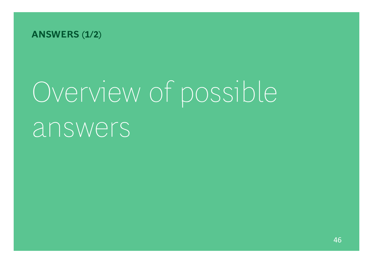

# Overview of possible answers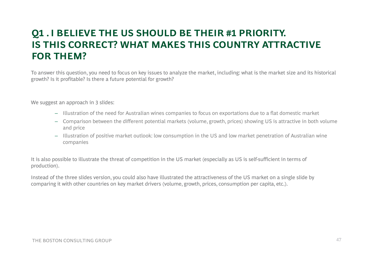## **Q1 . I BELIEVE THE US SHOULD BE THEIR #1 PRIORITY. IS THIS CORRECT? WHAT MAKES THIS COUNTRY ATTRACTIVE WHAT FOR THEM?**

To answer this question, you need to focus on key issues to analyze the market, including: what is the market size and its historical growth? Is it profitable? Is there a future potential for growth?

We suggest an approach in 3 slides:

- Illustration of the need for Australian wines companies to focus on exportations due to a flat domestic market
- Comparison between the different potential markets (volume, growth, prices) showing US is attractive in both volume and price
- Illustration of positive market outlook: low consumption in the US and low market penetration of Australian wine companies

It is also possible to illustrate the threat of competition in the US market (especially as US is self-sufficient in terms of production).

Instead of the three slides version, you could also have illustrated the attractiveness of the US market on a single slide by comparing it with other countries on key market drivers (volume, growth, prices, consumption per capita, etc.).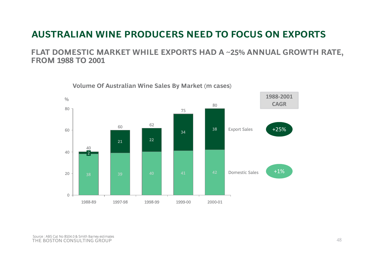## **AUSTRALIAN WINE PRODUCERS NEED TO FOCUS ON EXPORTS**

**FLAT DOMESTIC MARKET WHILE EXPORTS HAD A ~25% ANNUAL GROWTH RATE, FROM 1988 TO 2001**

> $\frac{0}{0}$  **<sup>1988</sup>‐<sup>2001</sup>** 34 <sup>60</sup> <sup>38</sup> 80Export Sales p 8075 62 60**CAGR**+25%21 <sup>22</sup> 40402 <sup>39</sup> <sup>40</sup> <sup>41</sup> <sup>42</sup> <sup>20</sup> Domestic Sales +1% 01988-891997-98 1998-99 1999-00 2000-01

**Volume Of Australian Wine Sales By Market (m cases)**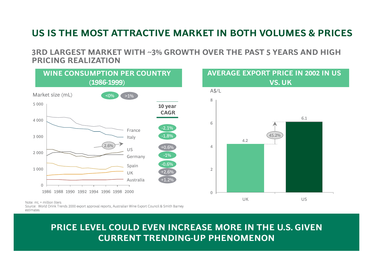## **US IS THE MOST ATTRACTIVE MARKET IN BOTH VOLUMES & PRICES**

8

6

4

2

 $\Omega$ 

4.2

UK

**AVERAGE EXPORT PRICE IN 2002 IN US PRICE IN**

45.2%

US

**VS. UK** 

6.1

**3RD LARGEST MARKET WITH ~3% GROWTH OVER THE PAST 5 YEARS AND HIGH PRICING REALIZATION**



Note: mL = million liters

 Source: World Drink Trends 2000 export approval reports, Australian Wine Export Council & Smith Barney estimates

## **THE BOSTON CONSULTING CONSULTING GROUP ASSESSED ASSOCIATION CONSULTING CONSULTING CONSULTING CONSULTING CONSULTING CONSULTING CONSULTING CONSULTING CONSULTING CONSULTING CONSULTING CONSULTING CONSULTING CONSULTING CONSULT PRICE LEVEL COULD EVEN INCREASE MORE IN THE U.S. GIVEN**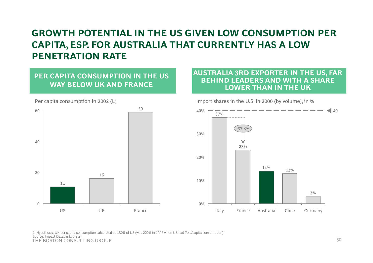## **GROWTH POTENTIAL IN THE US GIVEN LOW CONSUMPTION PER CAPITA ESP FOR AUSTRALIA THAT CURRENTLY HAS A LOW CAPITA, ESP. FOR PENETRATION RATE**

## **PER CAPITA CONSUMPTION IN THE US WAY BELOW UK AND FRANCE**



Per capita consumption in 2002 (L)

#### AUSTRALIA 3RD EXPORTER IN THE US, FAR<br>BEHIND LEADERS AND WITH A SHARE A 3RD EXPORTER IN THE US, FA **BEHIND LEADERS AND WITH A SHARE LOWER THAN IN THE UK**



THE BOSTON CONSULTING GROUP 50 1. Hypothesis: UK per capita consumption calculated as 150% of US (was 200% in 1997 when US had 7.4L/capita consumption) Source: Impact Databank, press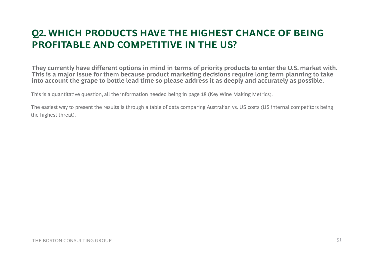## **Q2. WHICH PRODUCTS HAVE THE HIGHEST CHANCE OF BEING PROFITABLE AND COMPETITIVE IN THE US? IN THE**

**They currently have different options in mind in terms of priority products to enter the U.S. market with. This is a major issue for them because product marketing decisions require long term planning to take into account the grape-to-bottle lead-time so please address it as deeply and accurately as possible.** 

This is a quantitative question, all the information needed being in page 18 (Key Wine Making Metrics).

The easiest way to present the results is through a table of data comparing Australian vs. US costs (US internal competitors being the highest threat).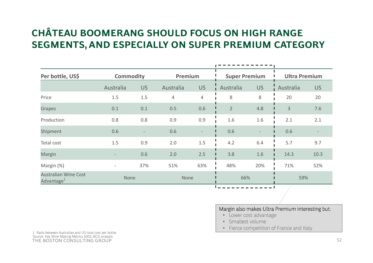# **CHÂTEAU BOOMERANG SHOULD FOCUS ON HIGH RANGE SEGMENTS AND ESPECIALLY ON SUPER PREMIUM CATEGORY SEGMENTS, ON**

| Per bottle, US\$                                      |                | <b>Commodity</b>  |           | Premium   | <b>Super Premium</b> |                          | <b>Ultra Premium</b> |           |  |
|-------------------------------------------------------|----------------|-------------------|-----------|-----------|----------------------|--------------------------|----------------------|-----------|--|
|                                                       | Australia      | <b>US</b>         | Australia | <b>US</b> | Australia            | <b>US</b>                | Australia            | <b>US</b> |  |
| Price                                                 | 1.5            | 1.5               | 4         | 4         | 8                    | 8                        | 20                   | 20        |  |
| Grapes                                                | 0.1            | 0.1               | 0.5       | 0.6       | $\overline{2}$       | 4.8                      | 3                    | 7.6       |  |
| Production                                            | 0.8            | 0.8               | 0.9       | 0.9       | 1.6                  | 1.6                      | 2.1                  | 2.1       |  |
| Shipment                                              | 0.6            | $\qquad \qquad -$ | 0.6       | $\equiv$  | 0.6                  | $\overline{\phantom{0}}$ | 0.6                  |           |  |
| Total cost                                            | 1.5            | 0.9               | 2.0       | 1.5       | 4.2                  | 6.4                      | 5.7                  | 9.7       |  |
| Margin                                                |                | 0.6               | 2.0       | 2.5       | 3.8                  | 1.6                      | 14.3                 | 10.3      |  |
| Margin (%)                                            | $\overline{a}$ | 37%               | 51%       | 63%       | 48%                  | 20%                      | 71%                  | 52%       |  |
| <b>Australian Wine Cost</b><br>Advantage <sup>1</sup> |                | None              |           | None      |                      | 66%                      |                      | 59%       |  |
|                                                       |                |                   |           |           |                      |                          | . .                  |           |  |

#### Margin also makes Ultra Premium interesting but:

- Lower cost advantage
- Smallest volume
- Fierce competition of France and Italy

THE BOSTON CONSULTING GROUP $P \hspace{1.5cm}$ 1. Ratio between Australian and US total cost per bottle Source: Key Wine Making Metrics 2002; BCG analysis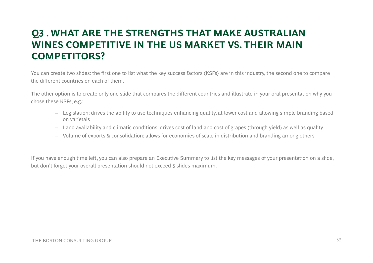## **Q3 . WHAT ARE THE STRENGTHS THAT MAKE AUSTRALIAN WINES COMPETITIVE IN THE US MARKET VS THEIR MAIN VS. COMPETITORS?**

You can create two slides: the first one to list what the key success factors (KSFs) are in this industry, the second one to compare the different countries on each of them.

The other option is to create only one slide that compares the different countries and illustrate in your oral presentation why you chose these KSFs, e.g.:

- Legislation: drives the ability to use techniques enhancing quality, at lower cost and allowing simple branding based on varietals
- Land availability and climatic conditions: drives cost of land and cost of grapes (through yield) as well as quality
- Volume of exports & consolidation: allows for economies of scale in distribution and branding among others

If you have enough time left, you can also prepare an Executive Summary to list the key messages of your presentation on a slide, but don't forget your overall presentation should not exceed 5 slides maximum.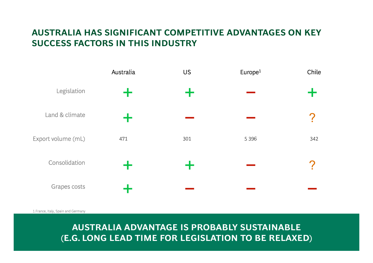## **AUSTRALIA HAS SIGNIFICANT COMPETITIVE ADVANTAGES ON KEY SUCCESS FACTORS IN THIS INDUSTRY**

|                    | Australia   | <b>US</b>            | Europe <sup>1</sup> | Chile |
|--------------------|-------------|----------------------|---------------------|-------|
| Legislation        | $+$         | ╈                    |                     |       |
| Land & climate     | $\mathbf +$ |                      |                     |       |
| Export volume (mL) | 471         | 301                  | 5 3 9 6             | 342   |
| Consolidation      | Ť           | $\ddot{\phantom{1}}$ |                     | r     |
| Grapes costs       | $\mathbf +$ |                      |                     |       |

1.France, Italy, Spain and Germany

**THE BOSTON CONSULTING CONSULTION TO BE RELAXED) AUSTRALIA ADVANTAGE IS PROBABLY SUSTAINABLE**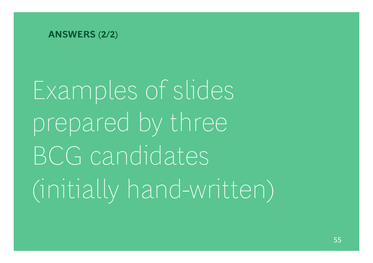**ANSWERS (2/2)**

Examples of slides prepared by three BCG candidates (initially hand hand-written)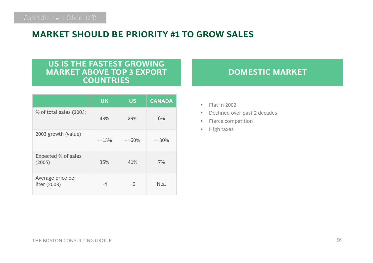## **MARKET SHOULD BE PRIORITY #1 TO GROW SALES**

### **US IS THE FASTEST GROWING MARKET ABOVE TOP 3 EXPORT COUNTRIES**

|                                   | <b>UK</b>   | <b>US</b> | <b>CANADA</b> |
|-----------------------------------|-------------|-----------|---------------|
| % of total sales (2003)           | 43%         | 29%       | 6%            |
| 2003 growth (value)               | $~15\%$     | $~100\%$  | $~1430\%$     |
| Expected % of sales<br>(2005)     | 35%         | 41%       | 7%            |
| Average price per<br>liter (2003) | $\sim\!\!4$ | ~10       | N.a.          |

## **DOMESTIC MARKET**

- Flat in 2002
- •Declined over past 2 decades
- Fierce competition
- Hi gh taxes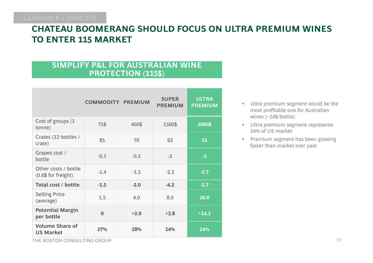## **CHATEAU BOOMERANG SHOULD FOCUS ON ULTRA PREMIUM WINES TO ENTER 115 MARKET**

## **SIMPLIFY P&L FOR AUSTRALIAN WINE PROTECTION (115\$)**

|                                                | <b>COMMODITY PREMIUM</b> |        | <b>SUPER</b><br><b>PREMIUM</b> | <b>ULTRA</b><br><b>PREMIUM</b> |
|------------------------------------------------|--------------------------|--------|--------------------------------|--------------------------------|
| Cost of groups (1<br>tonne)                    | 75\$                     | 400\$  | 1500\$                         | 2000\$                         |
| Crates (12 bottles /<br>crate)                 | 85                       | 70     | 63                             | 55                             |
| Grapes cost /<br>bottle                        | $-0.1$                   | $-0.5$ | $-2$                           | $-3$                           |
| Other costs / bottle<br>$(0.6$ \$ for freight) | $-1.4$                   | $-1.5$ | $-2.2$                         | $-2.7$                         |
| Total cost / bottle                            | $-1.5$                   | $-2.0$ | $-4.2$                         | $-5.7$                         |
| <b>Selling Price</b><br>(average)              | 1.5                      | 4.0    | 8.0                            | 20.0                           |
| <b>Potential Margin</b><br>per bottle          | $\bf{0}$                 | $+2.0$ | $+3.8$                         | $+14.3$                        |
| <b>Volume Share of</b><br><b>US Market</b>     | 27%                      | 28%    | 14%                            | 24%                            |

- Ultra premium segment would be the most profitable one for Australian wines (~14\$/bottle)
- Ultra premium segment represents 24% of US market
- Premium segment has been growing faster than market over past

THE BOSTON CONSULTING GROUP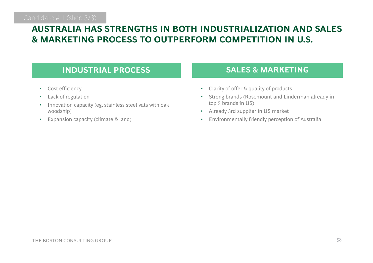## **AUSTRALIA HAS STRENGTHS IN BOTH INDUSTRIALIZATION AND SALES & MARKETING PROCESS TO OUTPERFORM COMPETITION IN U.S. MARKETING**

#### **INDUSTRIAL PROCESS**,我们也不能会不会。""我们,我们也不会不会。""我们,我们也不会不会。""我们,我们也不会不会不会。""我们,我们也不会不会不会。""我们,我们也不会不会不会

- Cost efficiency
- •Lack of regulation
- • Innovation capacity (eg. stainless steel vats with oak woodship)
- •Expansion capacity (climate & land)

## **SALES & MARKETING**

- •Clarity of offer & quality of products
- • Strong brands (Rosemount and Linderman already in top 5 brands in US)
- •Already 3rd supplier in US market
- •Environmentally friendly perception of Australia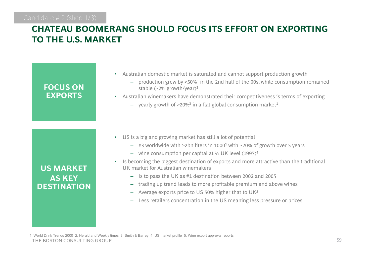#### Candidate # 2 (slide 1/3)

#### **CHATEAU BOOMERANG SHOULD FOCUS ITS EFFORT ON EXPORTING TO THE U.S. MARKET**

| <b>FOCUS ON</b><br><b>EXPORTS</b>                       |  |
|---------------------------------------------------------|--|
|                                                         |  |
| <b>US MARKET</b><br><b>AS KEY</b><br><b>DESTINATION</b> |  |

- Australian domestic market is saturated and cannot support production growth
	- $-$  production grew by >50% $^1$  in the 2nd half of the 90s, while consumption remained stable (~2% growth/year)2
- Australian winemakers have demonstrated their competitiveness is terms of exporting
	- $-$  yearly growth of >20% $^3$  in a flat global consumption market $^1$

- US is a big and growing market has still a lot of potential
	- $-$  #3 worldwide with >2bn liters in 1000 $^{\rm 1}$  with ~20% of growth over 5 years
	- $-$  wine consumption per capital at ½ UK level (1997) $^4$
- Is becoming the biggest destination of exports and more attractive than the traditional UK market for Australian winemakers
	- Is to pass the UK as #1 destination between 2002 and 2005
	- trading up trend leads to more profitable premium and above wines
	- $\,$  Average exports price to US 50% higher that to UK $^5$
	- Less retailers concentration in the US meaning less pressure or prices

THE BOSTON CONSULTING GROUP $P \hspace{2.5cm}$ 1. World Drink Trends 2000 2. Herald and Weekly times 3. Smith & Barrey 4. US market profile 5. Wine export approval reports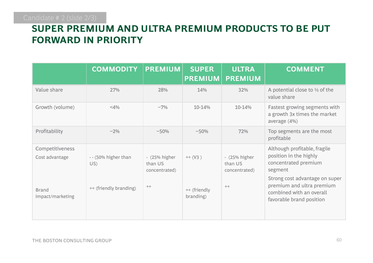# **SUPER PREMIUM AND ULTRA PREMIUM PRODUCTS TO BE PUT FORWARD IN PRIORITY**

|                                   | <b>COMMODITY</b>            | <b>PREMIUM</b>                              | <b>SUPER</b><br><b>PREMIUM</b> | <b>ULTRA</b><br><b>PREMIUM</b>              | <b>COMMENT</b>                                                                                                      |
|-----------------------------------|-----------------------------|---------------------------------------------|--------------------------------|---------------------------------------------|---------------------------------------------------------------------------------------------------------------------|
| Value share                       | 27%                         | 28%                                         | 14%                            | 32%                                         | A potential close to $\frac{1}{2}$ of the<br>value share                                                            |
| Growth (volume)                   | $<$ 4%                      | $~10^{6}$                                   | 10-14%                         | 10-14%                                      | Fastest growing segments with<br>a growth 3x times the market<br>average (4%)                                       |
| Profitability                     | $~10^{20}$                  | $~1.50\%$                                   | $~1.50\%$                      | 72%                                         | Top segments are the most<br>profitable                                                                             |
| Competitiveness<br>Cost advantage | $-$ (50% higher than<br>US) | $-$ (25% higher<br>than US<br>concentrated) | $++ (V3)$                      | $-$ (25% higher<br>than US<br>concentrated) | Although profitable, fragile<br>position in the highly<br>concentrated premium<br>segment                           |
| <b>Brand</b><br>impact/marketing  | ++ (friendly branding)      | $++$                                        | ++ (friendly<br>branding)      | $++$                                        | Strong cost advantage on super<br>premium and ultra premium<br>combined with an overall<br>favorable brand position |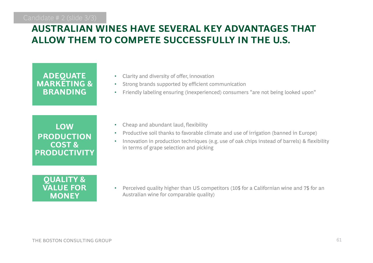## **AUSTRALIAN WINES HAVE SEVERAL KEY ADVANTAGES THAT ALLOW THEM TO COMPETE SUCCESSFULLY IN THE U.S.**

## **ADE QUATE MARKETING & BRANDING**

**LOW PRODUCTION COST & PRODUCTIVITY**

# **QUALITY & MONEY**

- Clarity and diversity of offer, innovation
- •Strong brands supported by efficient communication
- •Friendly labeling ensuring (inexperienced) consumers "are not being looked upon"
- Cheap and abundant laud, flexibility
- Productive soil thanks to favorable climate and use of irrigation (banned in Europe)  $\;$
- • Innovation in production techniques (e.g. use of oak chips instead of barrels) & flexibility in terms of grape selection and picking

•**VALUE FOR Surfill State of the Perceived quality higher than US competitors (10\$ for a Californian wine and 7\$ for an** Australian wine for comparable quality)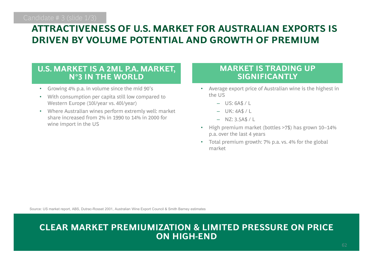## **ATTRACTIVENESS OF U.S. MARKET FOR AUSTRALIAN EXPORTS IS**   $\blacksquare$  **DRIVEN BY VOLUME POTENTIAL AND GROWTH OF PREMIUM**

### **U.S. MARKET IS A 2ML P.A. MARKET, WARKET IS TRADING UP N°3 IN THE WORLD**

- •Growing 4% p.a. in volume since the mid 90's
- • With consumption per capita still low compared to Western Europe (10l/year vs. 40l/year)
- Where Australian wines perform extremly well: market share increased from 2% in 1990 to 14% in 2000 for wine import in the US

- Average export price of Australian wine is the highest in the US
	- US: 6A\$ / L
	- UK: 4A\$ / L
	- NZ: 3.5A\$ / L
- High premium market (bottles >7\$) has grown 10–14% p.a. over the last 4 years
- Total premium growth: 7% p.a. vs. 4% for the global market

Source: US market report, ABS, Dutrac-Rosset 2001, Australian Wine Export Council & Smith Barney estimates

#### $\sim$  62  $\sim$  62  $\sim$  62  $\sim$  62  $\sim$  62  $\sim$  62  $\sim$  62  $\sim$  62  $\sim$  62  $\sim$  62  $\sim$  62  $\sim$  62  $\sim$  62  $\sim$  62  $\sim$  62  $\sim$  62  $\sim$  62  $\sim$  62  $\sim$  62  $\sim$  62  $\sim$  62  $\sim$  62  $\sim$  62  $\sim$  62  $\sim$  62  $\sim$  62  $\sim$  62  $\sim$  **CLEAR MARKET PREMIUMIZATION & LIMITED PRESSURE ON PRICE ON HIGH-END**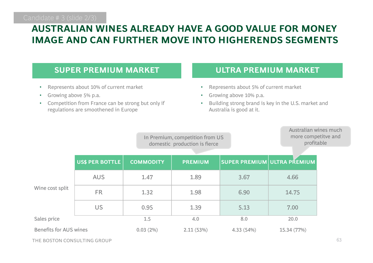#### **AUSTRALIAN WINES ALREADY HAVE A GOOD VALUE FOR MONEY IMAGE AND CAN FURTHER MOVE INTO HIGHERENDS SEGMENTS**

#### **SUPER PREMIUM MARKET**,一个人都是一个人,一个人都是一个人,一个人都是一个人,一个人都是一个人,一个人都是一个人,一个人都是一个人,一个人都是一个人,一个人都是一个人,一个人都是一个

- •Represents about 10% of current market
- •Growing above 5% p.a.
- Competition from France can be strong but only if ••regulations are smoothened in Europe

### **ULTRA PREMIUM MARKET**

- •Represents about 5% of current market
- •Growing above 10% p.a.
- Building strong brand is key in the U.S. market and Australia is good at it.

In Premium, competition from US domestic production is fierce

Australian wines muchmore competitve and profitable

|                               | US\$ PER BOTTLE | <b>COMMODITY</b> | <b>PREMIUM</b> |           | SUPER PREMIUM ULTRA PŘEMIUM |  |  |
|-------------------------------|-----------------|------------------|----------------|-----------|-----------------------------|--|--|
| Wine cost split               | <b>AUS</b>      | 1.47             | 1.89           | 3.67      | 4.66                        |  |  |
|                               | <b>FR</b>       | 1.32             | 1.98           | 6.90      | 14.75                       |  |  |
|                               | US              | 0.95             | 1.39           | 5.13      | 7.00                        |  |  |
| Sales price                   |                 | 1.5              | 4.0            | 8.0       | 20.0                        |  |  |
| <b>Benefits for AUS wines</b> |                 | $0.03(2\%)$      | 2.11(53%)      | 4.33(54%) | 15.34 (77%)                 |  |  |

THE BOSTON CONSULTING GROUP